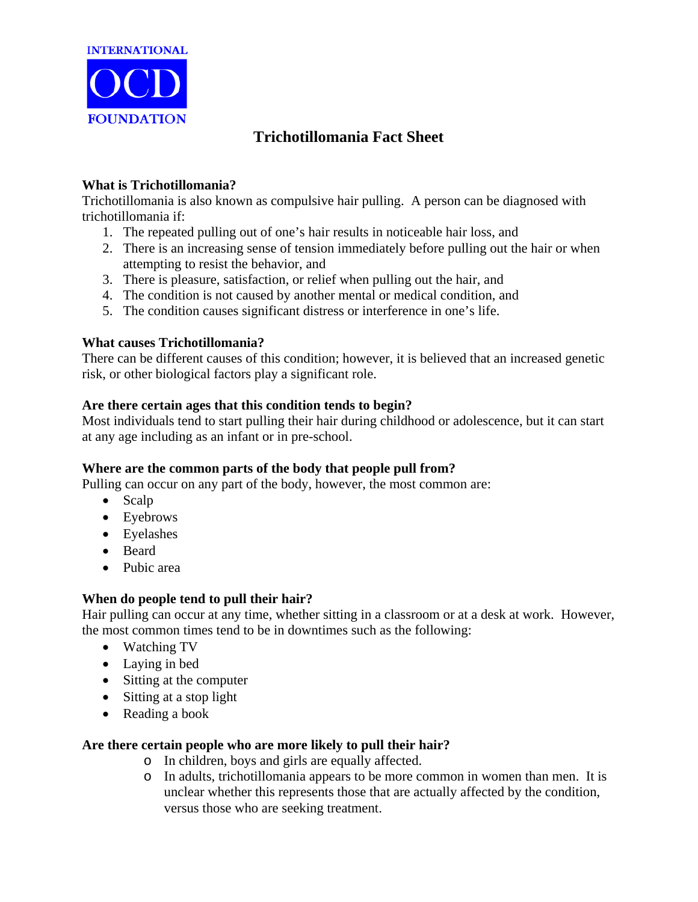

# **Trichotillomania Fact Sheet**

# **What is Trichotillomania?**

Trichotillomania is also known as compulsive hair pulling. A person can be diagnosed with trichotillomania if:

- 1. The repeated pulling out of one's hair results in noticeable hair loss, and
- 2. There is an increasing sense of tension immediately before pulling out the hair or when attempting to resist the behavior, and
- 3. There is pleasure, satisfaction, or relief when pulling out the hair, and
- 4. The condition is not caused by another mental or medical condition, and
- 5. The condition causes significant distress or interference in one's life.

## **What causes Trichotillomania?**

There can be different causes of this condition; however, it is believed that an increased genetic risk, or other biological factors play a significant role.

## **Are there certain ages that this condition tends to begin?**

Most individuals tend to start pulling their hair during childhood or adolescence, but it can start at any age including as an infant or in pre-school.

## **Where are the common parts of the body that people pull from?**

Pulling can occur on any part of the body, however, the most common are:

- Scalp
- Eyebrows
- Eyelashes
- Beard
- Pubic area

## **When do people tend to pull their hair?**

Hair pulling can occur at any time, whether sitting in a classroom or at a desk at work. However, the most common times tend to be in downtimes such as the following:

- Watching TV
- Laying in bed
- Sitting at the computer
- Sitting at a stop light
- Reading a book

## **Are there certain people who are more likely to pull their hair?**

- o In children, boys and girls are equally affected.
- o In adults, trichotillomania appears to be more common in women than men. It is unclear whether this represents those that are actually affected by the condition, versus those who are seeking treatment.